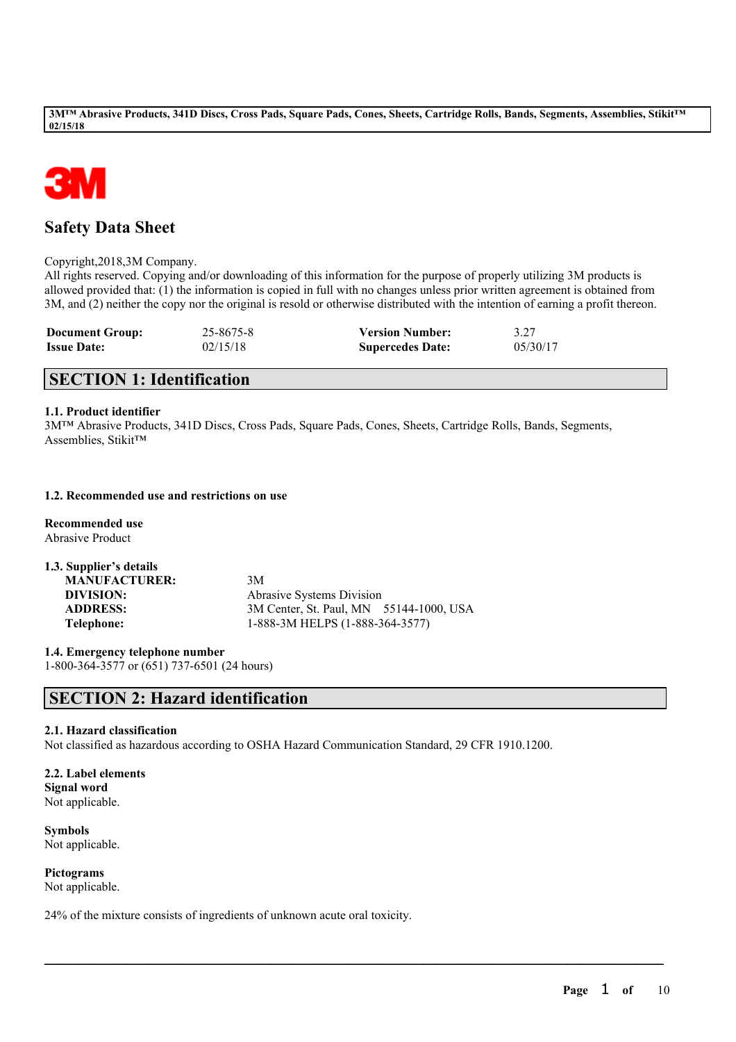

# **Safety Data Sheet**

Copyright,2018,3M Company.

All rights reserved. Copying and/or downloading of this information for the purpose of properly utilizing 3M products is allowed provided that: (1) the information is copied in full with no changes unless prior written agreement is obtained from 3M, and (2) neither the copy nor the original is resold or otherwise distributed with the intention of earning a profit thereon.

| <b>Document Group:</b> | 25-8675-8 | <b>Version Number:</b>  | 3.27     |
|------------------------|-----------|-------------------------|----------|
| <b>Issue Date:</b>     | 02/15/18  | <b>Supercedes Date:</b> | 05/30/17 |

# **SECTION 1: Identification**

# **1.1. Product identifier**

3M™ Abrasive Products, 341D Discs, Cross Pads, Square Pads, Cones, Sheets, Cartridge Rolls, Bands, Segments, Assemblies, Stikit™

# **1.2. Recommended use and restrictions on use**

**Recommended use** Abrasive Product

| 1.3. Supplier's details |                                         |
|-------------------------|-----------------------------------------|
| <b>MANUFACTURER:</b>    | 3M                                      |
| DIVISION:               | <b>Abrasive Systems Division</b>        |
| <b>ADDRESS:</b>         | 3M Center, St. Paul, MN 55144-1000, USA |
| Telephone:              | 1-888-3M HELPS (1-888-364-3577)         |

**1.4. Emergency telephone number** 1-800-364-3577 or (651) 737-6501 (24 hours)

# **SECTION 2: Hazard identification**

# **2.1. Hazard classification**

Not classified as hazardous according to OSHA Hazard Communication Standard, 29 CFR 1910.1200.

 $\mathcal{L}_\mathcal{L} = \mathcal{L}_\mathcal{L} = \mathcal{L}_\mathcal{L} = \mathcal{L}_\mathcal{L} = \mathcal{L}_\mathcal{L} = \mathcal{L}_\mathcal{L} = \mathcal{L}_\mathcal{L} = \mathcal{L}_\mathcal{L} = \mathcal{L}_\mathcal{L} = \mathcal{L}_\mathcal{L} = \mathcal{L}_\mathcal{L} = \mathcal{L}_\mathcal{L} = \mathcal{L}_\mathcal{L} = \mathcal{L}_\mathcal{L} = \mathcal{L}_\mathcal{L} = \mathcal{L}_\mathcal{L} = \mathcal{L}_\mathcal{L}$ 

# **2.2. Label elements**

**Signal word** Not applicable.

**Symbols** Not applicable.

**Pictograms** Not applicable.

24% of the mixture consists of ingredients of unknown acute oral toxicity.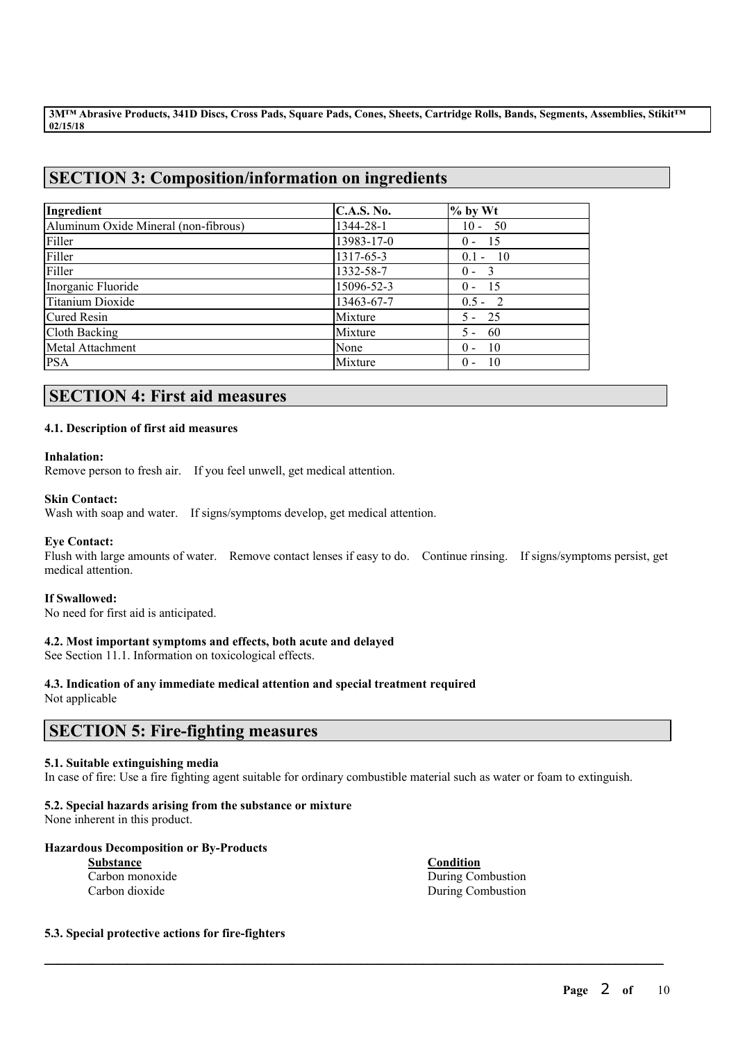# **SECTION 3: Composition/information on ingredients**

| Ingredient                           | <b>C.A.S. No.</b> | $%$ by Wt     |
|--------------------------------------|-------------------|---------------|
| Aluminum Oxide Mineral (non-fibrous) | 1344-28-1         | $10 - 50$     |
| Filler                               | 13983-17-0        | - 15<br>$0 -$ |
| Filler                               | 1317-65-3         | $0.1 - 10$    |
| Filler                               | 1332-58-7         | $0 - 3$       |
| Inorganic Fluoride                   | 15096-52-3        | - 15<br>$0 -$ |
| Titanium Dioxide                     | 13463-67-7        | $0.5 - 2$     |
| <b>Cured Resin</b>                   | Mixture           | $5 - 25$      |
| Cloth Backing                        | Mixture           | -60<br>$5 -$  |
| Metal Attachment                     | None              | - 10<br>$0 -$ |
| <b>PSA</b>                           | Mixture           | - 10<br>$0 -$ |

# **SECTION 4: First aid measures**

# **4.1. Description of first aid measures**

# **Inhalation:**

Remove person to fresh air. If you feel unwell, get medical attention.

# **Skin Contact:**

Wash with soap and water. If signs/symptoms develop, get medical attention.

# **Eye Contact:**

Flush with large amounts of water. Remove contact lenses if easy to do. Continue rinsing. If signs/symptoms persist, get medical attention.

# **If Swallowed:**

No need for first aid is anticipated.

# **4.2. Most important symptoms and effects, both acute and delayed**

See Section 11.1. Information on toxicological effects.

# **4.3. Indication of any immediate medical attention and special treatment required**

Not applicable

# **SECTION 5: Fire-fighting measures**

# **5.1. Suitable extinguishing media**

In case of fire: Use a fire fighting agent suitable for ordinary combustible material such as water or foam to extinguish.

 $\mathcal{L}_\mathcal{L} = \mathcal{L}_\mathcal{L} = \mathcal{L}_\mathcal{L} = \mathcal{L}_\mathcal{L} = \mathcal{L}_\mathcal{L} = \mathcal{L}_\mathcal{L} = \mathcal{L}_\mathcal{L} = \mathcal{L}_\mathcal{L} = \mathcal{L}_\mathcal{L} = \mathcal{L}_\mathcal{L} = \mathcal{L}_\mathcal{L} = \mathcal{L}_\mathcal{L} = \mathcal{L}_\mathcal{L} = \mathcal{L}_\mathcal{L} = \mathcal{L}_\mathcal{L} = \mathcal{L}_\mathcal{L} = \mathcal{L}_\mathcal{L}$ 

# **5.2. Special hazards arising from the substance or mixture**

None inherent in this product.

# **Hazardous Decomposition or By-Products**

**Substance Condition**

**Carbon monoxide** During Combustion Carbon dioxide During Combustion

# **5.3. Special protective actions for fire-fighters**

**Page** 2 **of** 10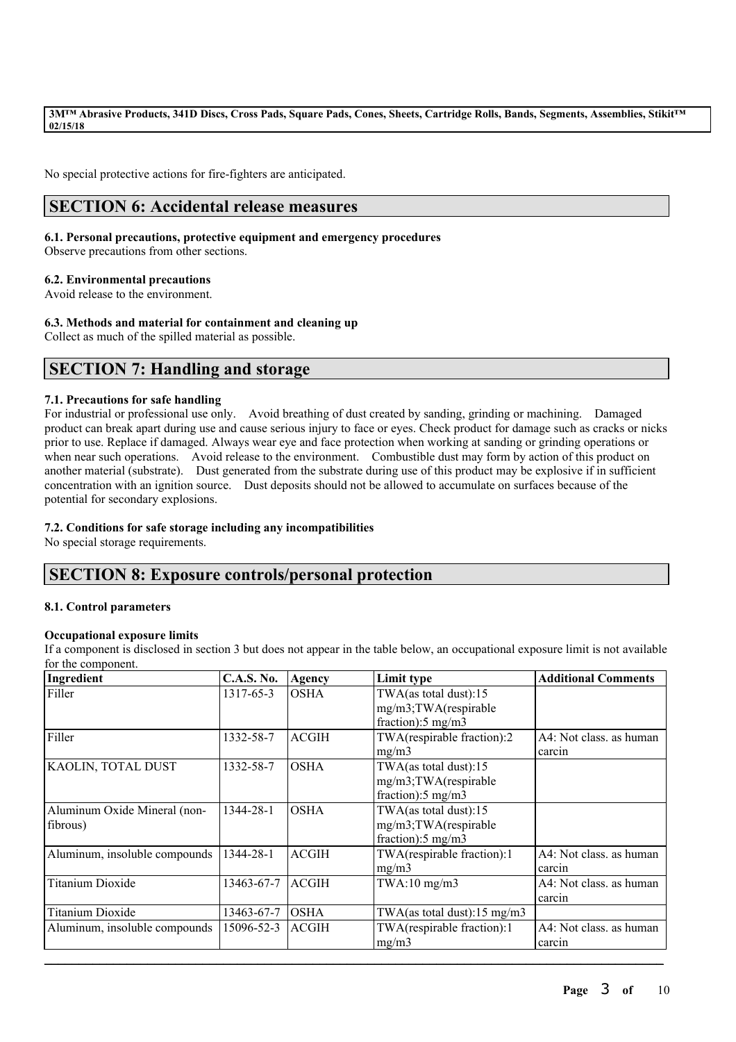No special protective actions for fire-fighters are anticipated.

# **SECTION 6: Accidental release measures**

# **6.1. Personal precautions, protective equipment and emergency procedures**

Observe precautions from other sections.

# **6.2. Environmental precautions**

Avoid release to the environment.

# **6.3. Methods and material for containment and cleaning up**

Collect as much of the spilled material as possible.

# **SECTION 7: Handling and storage**

# **7.1. Precautions for safe handling**

For industrial or professional use only. Avoid breathing of dust created by sanding, grinding or machining. Damaged product can break apart during use and cause serious injury to face or eyes. Check product for damage such as cracks or nicks prior to use. Replace if damaged. Always wear eye and face protection when working at sanding or grinding operations or when near such operations. Avoid release to the environment. Combustible dust may form by action of this product on another material (substrate). Dust generated from the substrate during use of this product may be explosive if in sufficient concentration with an ignition source. Dust deposits should not be allowed to accumulate on surfaces because of the potential for secondary explosions.

# **7.2. Conditions for safe storage including any incompatibilities**

No special storage requirements.

# **SECTION 8: Exposure controls/personal protection**

# **8.1. Control parameters**

# **Occupational exposure limits**

If a component is disclosed in section 3 but does not appear in the table below, an occupational exposure limit is not available for the component.

| Ingredient                    | <b>C.A.S. No.</b> | Agency       | Limit type                    | <b>Additional Comments</b> |
|-------------------------------|-------------------|--------------|-------------------------------|----------------------------|
| Filler                        | 1317-65-3         | <b>OSHA</b>  | TWA(as total dust):15         |                            |
|                               |                   |              | mg/m3;TWA(respirable          |                            |
|                               |                   |              | fraction):5 mg/m3             |                            |
| Filler                        | 1332-58-7         | <b>ACGIH</b> | TWA(respirable fraction):2    | A4: Not class. as human    |
|                               |                   |              | mg/m3                         | carcin                     |
| KAOLIN, TOTAL DUST            | 1332-58-7         | <b>OSHA</b>  | TWA(as total dust):15         |                            |
|                               |                   |              | mg/m3;TWA(respirable          |                            |
|                               |                   |              | fraction):5 mg/m3             |                            |
| Aluminum Oxide Mineral (non-  | 1344-28-1         | <b>OSHA</b>  | TWA(as total dust):15         |                            |
| fibrous)                      |                   |              | mg/m3;TWA(respirable          |                            |
|                               |                   |              | fraction): $5 \text{ mg/m}$ 3 |                            |
| Aluminum, insoluble compounds | 1344-28-1         | <b>ACGIH</b> | TWA(respirable fraction):1    | A4: Not class. as human    |
|                               |                   |              | mg/m3                         | carcin                     |
| <b>Titanium Dioxide</b>       | 13463-67-7        | <b>ACGIH</b> | $TWA:10$ mg/m $3$             | A4: Not class, as human    |
|                               |                   |              |                               | carcin                     |
| <b>Titanium Dioxide</b>       | 13463-67-7        | <b>OSHA</b>  | TWA(as total dust):15 mg/m3   |                            |
| Aluminum, insoluble compounds | 15096-52-3        | <b>ACGIH</b> | TWA(respirable fraction):1    | A4: Not class. as human    |
|                               |                   |              | mg/m3                         | carcin                     |
|                               |                   |              |                               |                            |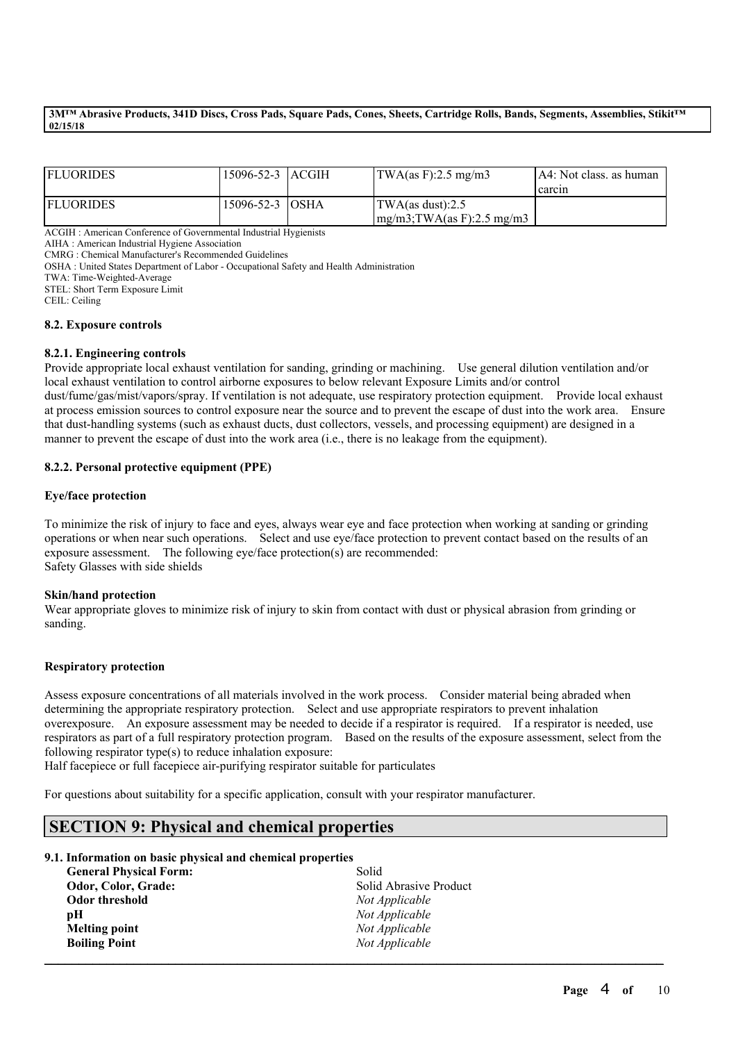| <b>FLUORIDES</b> | 15096-52-3  ACGIH | $\text{TWA}\left(\text{as } F\right):2.5 \text{ mg}/\text{m}3$ | IA4: Not class, as human |
|------------------|-------------------|----------------------------------------------------------------|--------------------------|
|                  |                   |                                                                | l carcin                 |
| <b>FLUORIDES</b> | 15096-52-3 OSHA   | TWA(as dust):2.5                                               |                          |
|                  |                   | $mg/m3$ ; TWA(as F): 2.5 mg/m3                                 |                          |

ACGIH : American Conference of Governmental Industrial Hygienists

AIHA : American Industrial Hygiene Association

CMRG : Chemical Manufacturer's Recommended Guidelines

OSHA : United States Department of Labor - Occupational Safety and Health Administration

TWA: Time-Weighted-Average

STEL: Short Term Exposure Limit

CEIL: Ceiling

#### **8.2. Exposure controls**

#### **8.2.1. Engineering controls**

Provide appropriate local exhaust ventilation for sanding, grinding or machining. Use general dilution ventilation and/or local exhaust ventilation to control airborne exposures to below relevant Exposure Limits and/or control dust/fume/gas/mist/vapors/spray. If ventilation is not adequate, use respiratory protection equipment. Provide local exhaust at process emission sources to control exposure near the source and to prevent the escape of dust into the work area. Ensure that dust-handling systems (such as exhaust ducts, dust collectors, vessels, and processing equipment) are designed in a manner to prevent the escape of dust into the work area (i.e., there is no leakage from the equipment).

### **8.2.2. Personal protective equipment (PPE)**

### **Eye/face protection**

To minimize the risk of injury to face and eyes, always wear eye and face protection when working at sanding or grinding operations or when near such operations. Select and use eye/face protection to prevent contact based on the results of an exposure assessment. The following eye/face protection(s) are recommended: Safety Glasses with side shields

#### **Skin/hand protection**

Wear appropriate gloves to minimize risk of injury to skin from contact with dust or physical abrasion from grinding or sanding.

#### **Respiratory protection**

Assess exposure concentrations of all materials involved in the work process. Consider material being abraded when determining the appropriate respiratory protection. Select and use appropriate respirators to prevent inhalation overexposure. An exposure assessment may be needed to decide if a respirator is required. If a respirator is needed, use respirators as part of a full respiratory protection program. Based on the results of the exposure assessment, select from the following respirator type(s) to reduce inhalation exposure:

 $\mathcal{L}_\mathcal{L} = \mathcal{L}_\mathcal{L} = \mathcal{L}_\mathcal{L} = \mathcal{L}_\mathcal{L} = \mathcal{L}_\mathcal{L} = \mathcal{L}_\mathcal{L} = \mathcal{L}_\mathcal{L} = \mathcal{L}_\mathcal{L} = \mathcal{L}_\mathcal{L} = \mathcal{L}_\mathcal{L} = \mathcal{L}_\mathcal{L} = \mathcal{L}_\mathcal{L} = \mathcal{L}_\mathcal{L} = \mathcal{L}_\mathcal{L} = \mathcal{L}_\mathcal{L} = \mathcal{L}_\mathcal{L} = \mathcal{L}_\mathcal{L}$ 

Half facepiece or full facepiece air-purifying respirator suitable for particulates

For questions about suitability for a specific application, consult with your respirator manufacturer.

# **SECTION 9: Physical and chemical properties**

# **9.1. Information on basic physical and chemical properties**

| <b>General Physical Form:</b> | Solid                  |
|-------------------------------|------------------------|
| Odor, Color, Grade:           | Solid Abrasive Product |
| Odor threshold                | Not Applicable         |
| рH                            | Not Applicable         |
| <b>Melting point</b>          | Not Applicable         |
| <b>Boiling Point</b>          | Not Applicable         |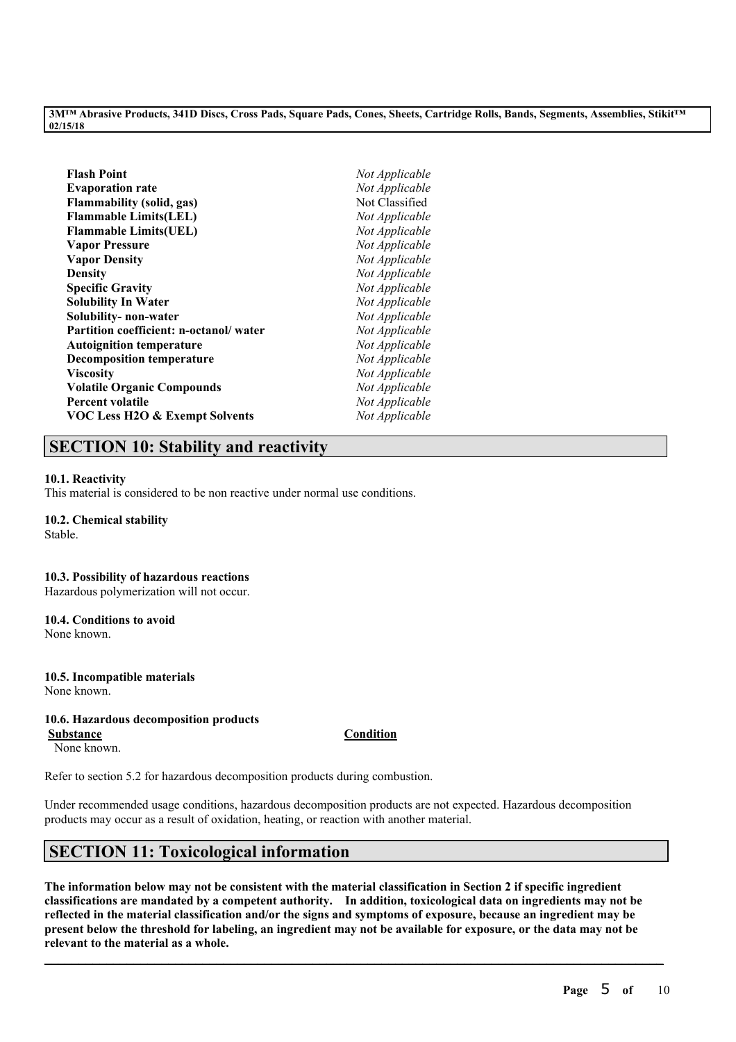| Flash Point                               | Not Applicable |
|-------------------------------------------|----------------|
| <b>Evaporation rate</b>                   | Not Applicable |
| Flammability (solid, gas)                 | Not Classified |
| <b>Flammable Limits(LEL)</b>              | Not Applicable |
| <b>Flammable Limits(UEL)</b>              | Not Applicable |
| <b>Vapor Pressure</b>                     | Not Applicable |
| <b>Vapor Density</b>                      | Not Applicable |
| Density                                   | Not Applicable |
| <b>Specific Gravity</b>                   | Not Applicable |
| Solubility In Water                       | Not Applicable |
| Solubility- non-water                     | Not Applicable |
| Partition coefficient: n-octanol/ water   | Not Applicable |
| <b>Autoignition temperature</b>           | Not Applicable |
| <b>Decomposition temperature</b>          | Not Applicable |
| Viscosity                                 | Not Applicable |
| <b>Volatile Organic Compounds</b>         | Not Applicable |
| <b>Percent volatile</b>                   | Not Applicable |
| <b>VOC Less H2O &amp; Exempt Solvents</b> | Not Applicable |
|                                           |                |

# **SECTION 10: Stability and reactivity**

# **10.1. Reactivity**

This material is considered to be non reactive under normal use conditions.

# **10.2. Chemical stability**

Stable.

# **10.3. Possibility of hazardous reactions**

Hazardous polymerization will not occur.

# **10.4. Conditions to avoid**

None known.

#### **10.5. Incompatible materials** None known.

# **10.6. Hazardous decomposition products**

**Substance Condition** None known.

Refer to section 5.2 for hazardous decomposition products during combustion.

Under recommended usage conditions, hazardous decomposition products are not expected. Hazardous decomposition products may occur as a result of oxidation, heating, or reaction with another material.

# **SECTION 11: Toxicological information**

The information below may not be consistent with the material classification in Section 2 if specific ingredient **classifications are mandated by a competent authority. In addition, toxicological data on ingredients may not be** reflected in the material classification and/or the signs and symptoms of exposure, because an ingredient may be present below the threshold for labeling, an ingredient may not be available for exposure, or the data may not be **relevant to the material as a whole.**

 $\mathcal{L}_\mathcal{L} = \mathcal{L}_\mathcal{L} = \mathcal{L}_\mathcal{L} = \mathcal{L}_\mathcal{L} = \mathcal{L}_\mathcal{L} = \mathcal{L}_\mathcal{L} = \mathcal{L}_\mathcal{L} = \mathcal{L}_\mathcal{L} = \mathcal{L}_\mathcal{L} = \mathcal{L}_\mathcal{L} = \mathcal{L}_\mathcal{L} = \mathcal{L}_\mathcal{L} = \mathcal{L}_\mathcal{L} = \mathcal{L}_\mathcal{L} = \mathcal{L}_\mathcal{L} = \mathcal{L}_\mathcal{L} = \mathcal{L}_\mathcal{L}$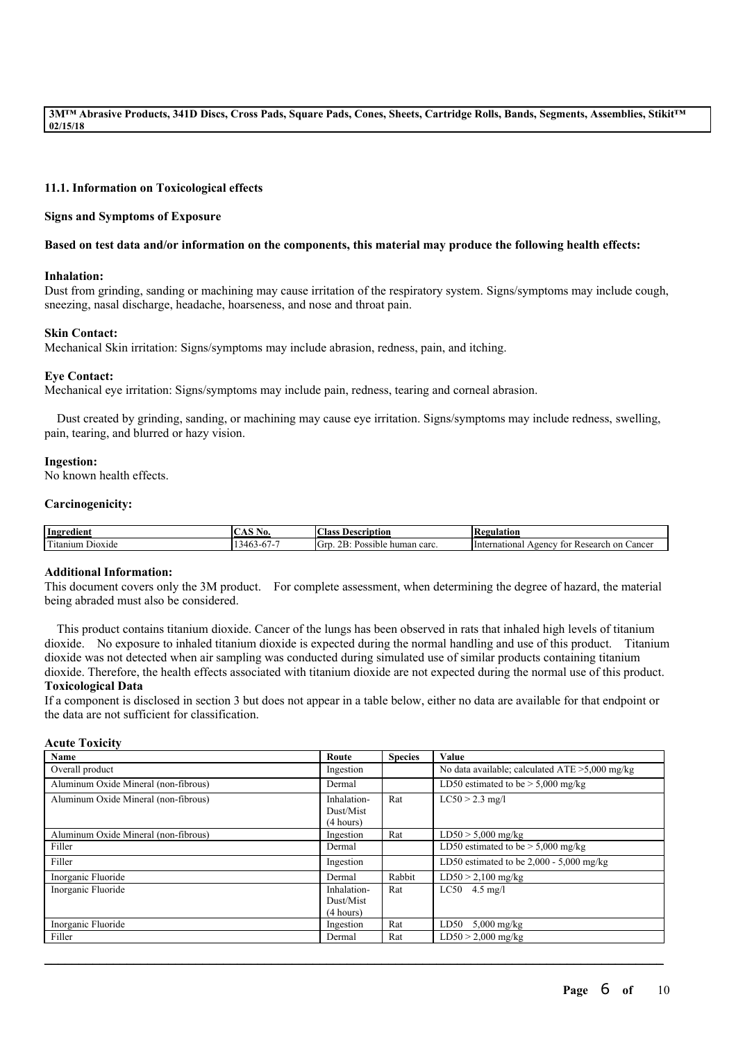### **11.1. Information on Toxicological effects**

#### **Signs and Symptoms of Exposure**

#### Based on test data and/or information on the components, this material may produce the following health effects:

#### **Inhalation:**

Dust from grinding, sanding or machining may cause irritation of the respiratory system. Signs/symptoms may include cough, sneezing, nasal discharge, headache, hoarseness, and nose and throat pain.

### **Skin Contact:**

Mechanical Skin irritation: Signs/symptoms may include abrasion, redness, pain, and itching.

### **Eye Contact:**

Mechanical eye irritation: Signs/symptoms may include pain, redness, tearing and corneal abrasion.

Dust created by grinding, sanding, or machining may cause eye irritation. Signs/symptoms may include redness, swelling, pain, tearing, and blurred or hazy vision.

#### **Ingestion:**

No known health effects.

#### **Carcinogenicity:**

| Ingredient                                                      | AO.<br>◡◠◡                        | $\sim$<br>Aass<br>Description                                | <b>tegulation</b>                                                  |
|-----------------------------------------------------------------|-----------------------------------|--------------------------------------------------------------|--------------------------------------------------------------------|
| <b>CONTACT</b><br>`itanium<br>D <sub>10</sub> x <sub>1</sub> de | $\sqrt{1}$<br>1-h /-<br>$\cdot$ . | $\mathbf{r}$<br>$\sim$<br>Grd<br>human carc.<br>Pos<br>ussuu | Cancer<br>national<br>1 Interr<br>Research<br>tor<br>-on<br>vgency |

#### **Additional Information:**

This document covers only the 3M product. For complete assessment, when determining the degree of hazard, the material being abraded must also be considered.

This product contains titanium dioxide. Cancer of the lungs has been observed in rats that inhaled high levels of titanium dioxide. No exposure to inhaled titanium dioxide is expected during the normal handling and use of this product. Titanium dioxide was not detected when air sampling was conducted during simulated use of similar products containing titanium dioxide. Therefore, the health effects associated with titanium dioxide are not expected during the normal use of this product. **Toxicological Data**

If a component is disclosed in section 3 but does not appear in a table below, either no data are available for that endpoint or the data are not sufficient for classification.

#### **Acute Toxicity**

| Name                                 | Route       | <b>Species</b> | Value                                             |
|--------------------------------------|-------------|----------------|---------------------------------------------------|
| Overall product                      | Ingestion   |                | No data available; calculated $ATE > 5,000$ mg/kg |
| Aluminum Oxide Mineral (non-fibrous) | Dermal      |                | LD50 estimated to be $> 5,000$ mg/kg              |
| Aluminum Oxide Mineral (non-fibrous) | Inhalation- | Rat            | $LC50 > 2.3$ mg/l                                 |
|                                      | Dust/Mist   |                |                                                   |
|                                      | (4 hours)   |                |                                                   |
| Aluminum Oxide Mineral (non-fibrous) | Ingestion   | Rat            | $LD50 > 5,000$ mg/kg                              |
| Filler                               | Dermal      |                | LD50 estimated to be $> 5,000$ mg/kg              |
| Filler                               | Ingestion   |                | LD50 estimated to be $2,000 - 5,000$ mg/kg        |
| Inorganic Fluoride                   | Dermal      | Rabbit         | $LD50 > 2,100$ mg/kg                              |
| Inorganic Fluoride                   | Inhalation- | Rat            | $LC50$ 4.5 mg/l                                   |
|                                      | Dust/Mist   |                |                                                   |
|                                      | (4 hours)   |                |                                                   |
| Inorganic Fluoride                   | Ingestion   | Rat            | LD50<br>$5,000$ mg/kg                             |
| Filler                               | Dermal      | Rat            | $LD50 > 2,000$ mg/kg                              |

 $\mathcal{L}_\mathcal{L} = \mathcal{L}_\mathcal{L} = \mathcal{L}_\mathcal{L} = \mathcal{L}_\mathcal{L} = \mathcal{L}_\mathcal{L} = \mathcal{L}_\mathcal{L} = \mathcal{L}_\mathcal{L} = \mathcal{L}_\mathcal{L} = \mathcal{L}_\mathcal{L} = \mathcal{L}_\mathcal{L} = \mathcal{L}_\mathcal{L} = \mathcal{L}_\mathcal{L} = \mathcal{L}_\mathcal{L} = \mathcal{L}_\mathcal{L} = \mathcal{L}_\mathcal{L} = \mathcal{L}_\mathcal{L} = \mathcal{L}_\mathcal{L}$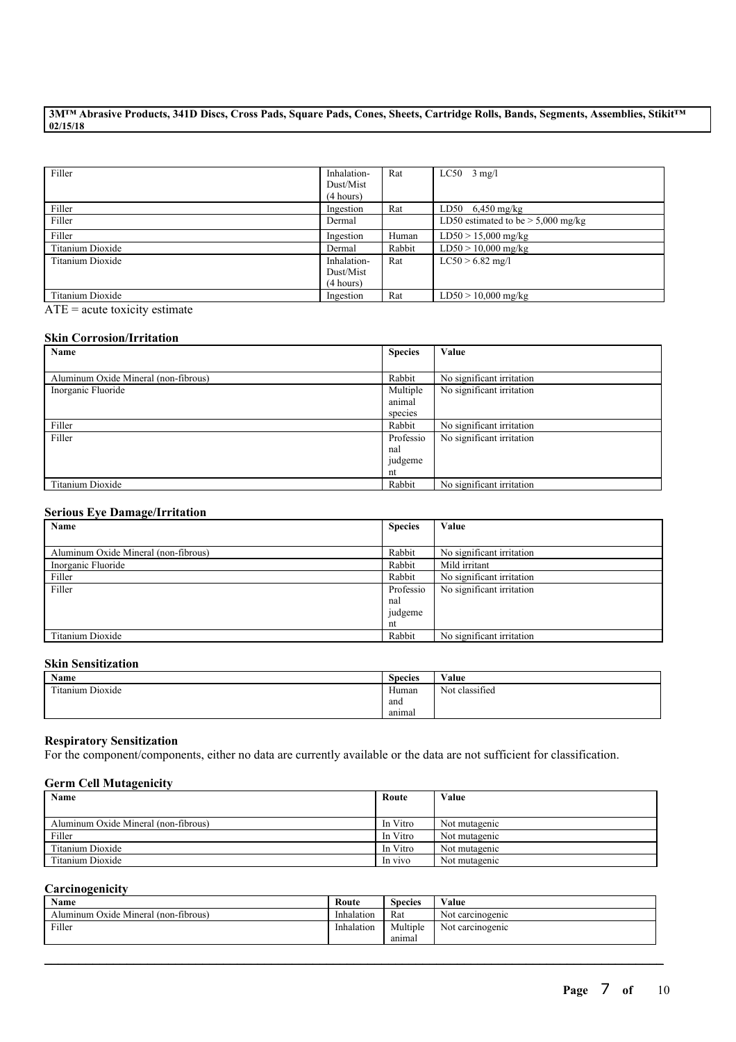| Filler           | Inhalation-<br>Dust/Mist<br>(4 hours) | Rat    | $LC50$ 3 mg/l                        |
|------------------|---------------------------------------|--------|--------------------------------------|
| Filler           | Ingestion                             | Rat    | LD50 $6,450 \text{ mg/kg}$           |
| Filler           | Dermal                                |        | LD50 estimated to be $> 5,000$ mg/kg |
| Filler           | Ingestion                             | Human  | $LD50 > 15,000$ mg/kg                |
| Titanium Dioxide | Dermal                                | Rabbit | $LD50 > 10,000$ mg/kg                |
| Titanium Dioxide | Inhalation-                           | Rat    | $LC50 > 6.82$ mg/l                   |
|                  | Dust/Mist                             |        |                                      |
|                  | (4 hours)                             |        |                                      |
| Titanium Dioxide | Ingestion                             | Rat    | $LD50 > 10,000$ mg/kg                |

 $ATE = acute$  toxicity estimate

# **Skin Corrosion/Irritation**

| Name                                 | <b>Species</b> | Value                     |
|--------------------------------------|----------------|---------------------------|
|                                      |                |                           |
| Aluminum Oxide Mineral (non-fibrous) | Rabbit         | No significant irritation |
| Inorganic Fluoride                   | Multiple       | No significant irritation |
|                                      | animal         |                           |
|                                      | species        |                           |
| Filler                               | Rabbit         | No significant irritation |
| Filler                               | Professio      | No significant irritation |
|                                      | nal            |                           |
|                                      | judgeme        |                           |
|                                      | nt             |                           |
| Titanium Dioxide                     | Rabbit         | No significant irritation |

### **Serious Eye Damage/Irritation**

| $\overline{\phantom{a}}$<br>Name     | <b>Species</b> | Value                     |
|--------------------------------------|----------------|---------------------------|
|                                      |                |                           |
| Aluminum Oxide Mineral (non-fibrous) | Rabbit         | No significant irritation |
| Inorganic Fluoride                   | Rabbit         | Mild irritant             |
| Filler                               | Rabbit         | No significant irritation |
| Filler                               | Professio      | No significant irritation |
|                                      | nal            |                           |
|                                      | judgeme        |                           |
|                                      | nt             |                           |
| Titanium Dioxide                     | Rabbit         | No significant irritation |

#### **Skin Sensitization**

| <b>Name</b>                     | <b>Species</b> | Value          |
|---------------------------------|----------------|----------------|
| contra-<br>itanium Dioxide<br>. | Human          | Not classified |
|                                 | and            |                |
|                                 | animal         |                |

# **Respiratory Sensitization**

For the component/components, either no data are currently available or the data are not sufficient for classification.

### **Germ Cell Mutagenicity**

| Name                                 | Route    | Value         |
|--------------------------------------|----------|---------------|
|                                      |          |               |
| Aluminum Oxide Mineral (non-fibrous) | In Vitro | Not mutagenic |
| Filler                               | In Vitro | Not mutagenic |
| Titanium Dioxide                     | In Vitro | Not mutagenic |
| Titanium Dioxide                     | In vivo  | Not mutagenic |

### **Carcinogenicity**

| <b>Name</b>                          | Route      | Species  | Value            |
|--------------------------------------|------------|----------|------------------|
| Aluminum Oxide Mineral (non-fibrous) | Inhalation | Rat      | Not carcinogenic |
| Filler                               | Inhalation | Multiple | Not carcinogenic |
|                                      |            | anımal   |                  |

 $\mathcal{L}_\mathcal{L} = \mathcal{L}_\mathcal{L} = \mathcal{L}_\mathcal{L} = \mathcal{L}_\mathcal{L} = \mathcal{L}_\mathcal{L} = \mathcal{L}_\mathcal{L} = \mathcal{L}_\mathcal{L} = \mathcal{L}_\mathcal{L} = \mathcal{L}_\mathcal{L} = \mathcal{L}_\mathcal{L} = \mathcal{L}_\mathcal{L} = \mathcal{L}_\mathcal{L} = \mathcal{L}_\mathcal{L} = \mathcal{L}_\mathcal{L} = \mathcal{L}_\mathcal{L} = \mathcal{L}_\mathcal{L} = \mathcal{L}_\mathcal{L}$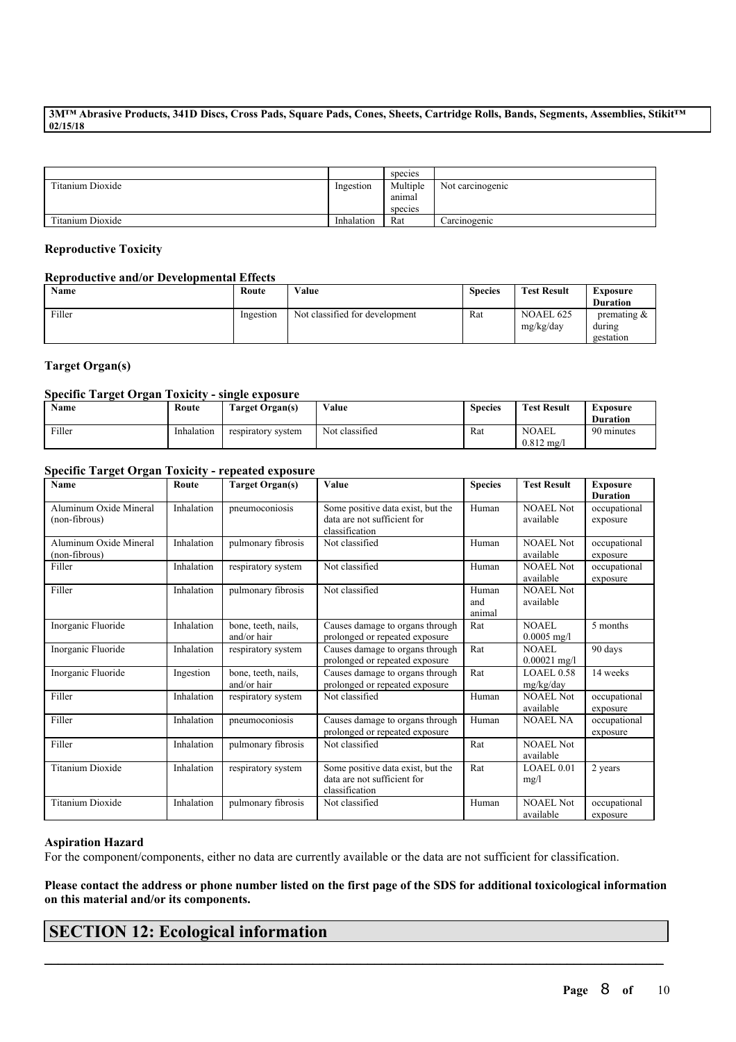|                  |            | species            |                  |
|------------------|------------|--------------------|------------------|
| Titanium Dioxide | Ingestion  | Multiple<br>anımal | Not carcinogenic |
|                  |            | species            |                  |
| Titanium Dioxide | Inhalation | Rat                | Carcinogenic     |

# **Reproductive Toxicity**

### **Reproductive and/or Developmental Effects**

| Name   | Route     | Value                          | <b>Species</b> | <b>Test Result</b>            | Exposure<br><b>Duration</b>           |
|--------|-----------|--------------------------------|----------------|-------------------------------|---------------------------------------|
| Filler | Ingestion | Not classified for development | Rat            | <b>NOAEL 625</b><br>mg/kg/day | premating $\&$<br>during<br>gestation |

# **Target Organ(s)**

# **Specific Target Organ Toxicity - single exposure**

| <b>Name</b> | Route      | <b>Farget Organ(s)</b> | Value          | <b>Species</b> | <b>Test Result</b>                 | Exposure<br><b>Duration</b> |
|-------------|------------|------------------------|----------------|----------------|------------------------------------|-----------------------------|
| Filler      | Inhalation | respiratory system     | Not classified | Rat            | <b>NOAEL</b><br>$0.812 \text{ mg}$ | 90 minutes                  |

# **Specific Target Organ Toxicity - repeated exposure**

| Name                    | Route      | <b>Target Organ(s)</b> | Value                             | <b>Species</b> | <b>Test Result</b> | <b>Exposure</b> |
|-------------------------|------------|------------------------|-----------------------------------|----------------|--------------------|-----------------|
|                         |            |                        |                                   |                |                    | <b>Duration</b> |
| Aluminum Oxide Mineral  | Inhalation | pneumoconiosis         | Some positive data exist, but the | Human          | <b>NOAEL Not</b>   | occupational    |
| (non-fibrous)           |            |                        | data are not sufficient for       |                | available          | exposure        |
|                         |            |                        | classification                    |                |                    |                 |
| Aluminum Oxide Mineral  | Inhalation | pulmonary fibrosis     | Not classified                    | Human          | <b>NOAEL Not</b>   | occupational    |
| (non-fibrous)           |            |                        |                                   |                | available          | exposure        |
| Filler                  | Inhalation | respiratory system     | Not classified                    | Human          | <b>NOAEL Not</b>   | occupational    |
|                         |            |                        |                                   |                | available          | exposure        |
| Filler                  | Inhalation | pulmonary fibrosis     | Not classified                    | Human          | <b>NOAEL Not</b>   |                 |
|                         |            |                        |                                   | and            | available          |                 |
|                         |            |                        |                                   | animal         |                    |                 |
| Inorganic Fluoride      | Inhalation | bone, teeth, nails,    | Causes damage to organs through   | Rat            | <b>NOAEL</b>       | 5 months        |
|                         |            | and/or hair            | prolonged or repeated exposure    |                | $0.0005$ mg/l      |                 |
| Inorganic Fluoride      | Inhalation | respiratory system     | Causes damage to organs through   | Rat            | <b>NOAEL</b>       | 90 days         |
|                         |            |                        | prolonged or repeated exposure    |                | $0.00021$ mg/l     |                 |
|                         |            |                        |                                   |                |                    |                 |
| Inorganic Fluoride      | Ingestion  | bone, teeth, nails,    | Causes damage to organs through   | Rat            | <b>LOAEL0.58</b>   | 14 weeks        |
|                         |            | and/or hair            | prolonged or repeated exposure    |                | mg/kg/day          |                 |
| Filler                  | Inhalation | respiratory system     | Not classified                    | Human          | <b>NOAEL Not</b>   | occupational    |
|                         |            |                        |                                   |                | available          | exposure        |
| Filler                  | Inhalation | pneumoconiosis         | Causes damage to organs through   | Human          | <b>NOAEL NA</b>    | occupational    |
|                         |            |                        | prolonged or repeated exposure    |                |                    | exposure        |
| Filler                  | Inhalation | pulmonary fibrosis     | Not classified                    | Rat            | <b>NOAEL Not</b>   |                 |
|                         |            |                        |                                   |                | available          |                 |
| <b>Titanium Dioxide</b> | Inhalation | respiratory system     | Some positive data exist, but the | Rat            | LOAEL 0.01         | 2 years         |
|                         |            |                        | data are not sufficient for       |                | mg/l               |                 |
|                         |            |                        | classification                    |                |                    |                 |
| <b>Titanium Dioxide</b> | Inhalation | pulmonary fibrosis     | Not classified                    | Human          | <b>NOAEL Not</b>   | occupational    |
|                         |            |                        |                                   |                | available          | exposure        |

#### **Aspiration Hazard**

For the component/components, either no data are currently available or the data are not sufficient for classification.

Please contact the address or phone number listed on the first page of the SDS for additional toxicological information **on this material and/or its components.**

 $\mathcal{L}_\mathcal{L} = \mathcal{L}_\mathcal{L} = \mathcal{L}_\mathcal{L} = \mathcal{L}_\mathcal{L} = \mathcal{L}_\mathcal{L} = \mathcal{L}_\mathcal{L} = \mathcal{L}_\mathcal{L} = \mathcal{L}_\mathcal{L} = \mathcal{L}_\mathcal{L} = \mathcal{L}_\mathcal{L} = \mathcal{L}_\mathcal{L} = \mathcal{L}_\mathcal{L} = \mathcal{L}_\mathcal{L} = \mathcal{L}_\mathcal{L} = \mathcal{L}_\mathcal{L} = \mathcal{L}_\mathcal{L} = \mathcal{L}_\mathcal{L}$ 

# **SECTION 12: Ecological information**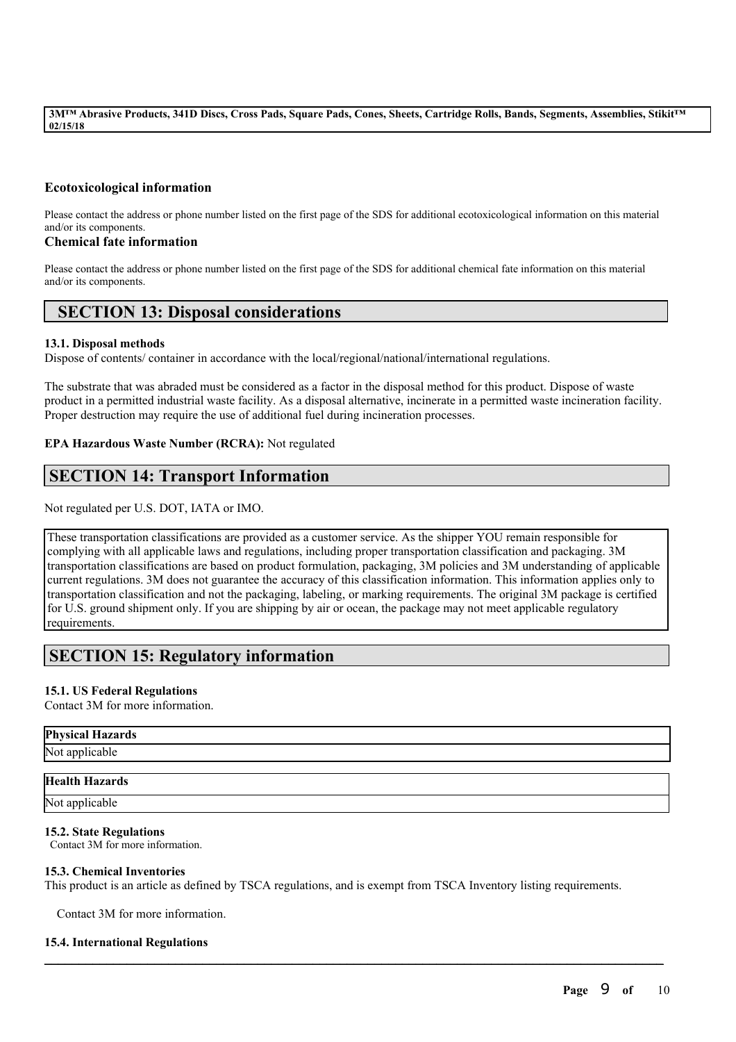# **Ecotoxicological information**

Please contact the address or phone number listed on the first page of the SDS for additional ecotoxicological information on this material and/or its components.

# **Chemical fate information**

Please contact the address or phone number listed on the first page of the SDS for additional chemical fate information on this material and/or its components.

# **SECTION 13: Disposal considerations**

# **13.1. Disposal methods**

Dispose of contents/ container in accordance with the local/regional/national/international regulations.

The substrate that was abraded must be considered as a factor in the disposal method for this product. Dispose of waste product in a permitted industrial waste facility. As a disposal alternative, incinerate in a permitted waste incineration facility. Proper destruction may require the use of additional fuel during incineration processes.

# **EPA Hazardous Waste Number (RCRA):** Not regulated

# **SECTION 14: Transport Information**

Not regulated per U.S. DOT, IATA or IMO.

These transportation classifications are provided as a customer service. As the shipper YOU remain responsible for complying with all applicable laws and regulations, including proper transportation classification and packaging. 3M transportation classifications are based on product formulation, packaging, 3M policies and 3M understanding of applicable current regulations. 3M does not guarantee the accuracy of this classification information. This information applies only to transportation classification and not the packaging, labeling, or marking requirements. The original 3M package is certified for U.S. ground shipment only. If you are shipping by air or ocean, the package may not meet applicable regulatory requirements.

# **SECTION 15: Regulatory information**

# **15.1. US Federal Regulations**

Contact 3M for more information.

# **Physical Hazards**

Not applicable

# **Health Hazards**

Not applicable

# **15.2. State Regulations**

Contact 3M for more information.

# **15.3. Chemical Inventories**

This product is an article as defined by TSCA regulations, and is exempt from TSCA Inventory listing requirements.

 $\mathcal{L}_\mathcal{L} = \mathcal{L}_\mathcal{L} = \mathcal{L}_\mathcal{L} = \mathcal{L}_\mathcal{L} = \mathcal{L}_\mathcal{L} = \mathcal{L}_\mathcal{L} = \mathcal{L}_\mathcal{L} = \mathcal{L}_\mathcal{L} = \mathcal{L}_\mathcal{L} = \mathcal{L}_\mathcal{L} = \mathcal{L}_\mathcal{L} = \mathcal{L}_\mathcal{L} = \mathcal{L}_\mathcal{L} = \mathcal{L}_\mathcal{L} = \mathcal{L}_\mathcal{L} = \mathcal{L}_\mathcal{L} = \mathcal{L}_\mathcal{L}$ 

Contact 3M for more information.

# **15.4. International Regulations**